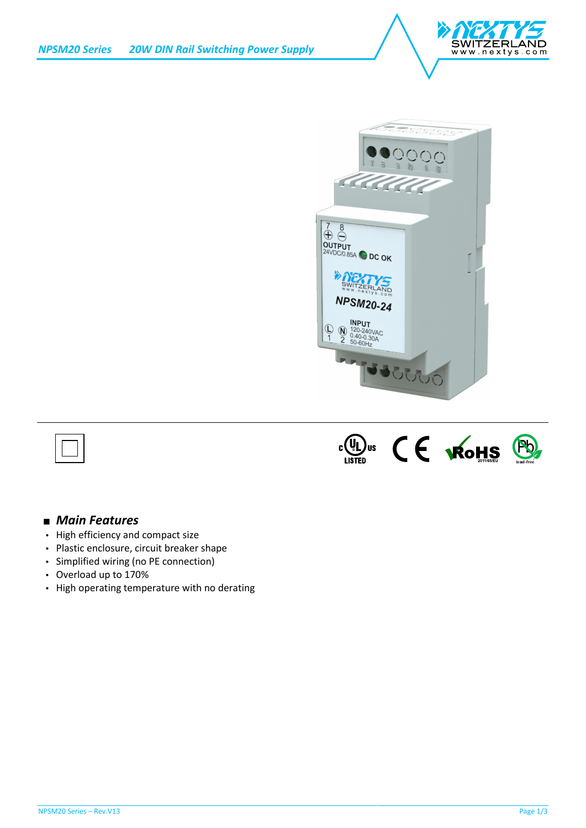





# $\frac{1}{\sqrt{2}}$  or  $\frac{1}{\sqrt{2}}$  or  $\frac{1}{\sqrt{2}}$  or  $\frac{1}{\sqrt{2}}$

## *Main Features*

- High efficiency and compact size
- Plastic enclosure, circuit breaker shape
- Simplified wiring (no PE connection)
- Overload up to 170%
- High operating temperature with no derating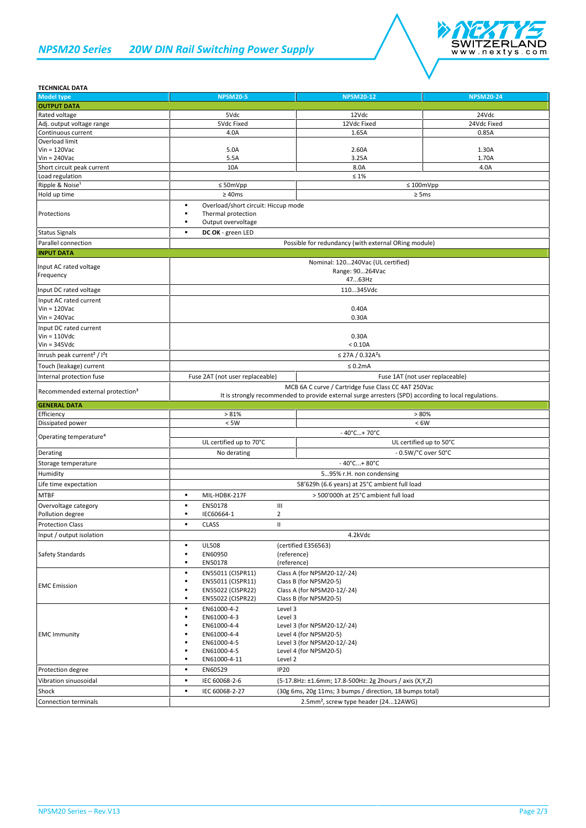

| <b>TECHNICAL DATA</b>                                        |                                                                                                                                                             |                                                                                                              |                  |
|--------------------------------------------------------------|-------------------------------------------------------------------------------------------------------------------------------------------------------------|--------------------------------------------------------------------------------------------------------------|------------------|
| <b>Model type</b>                                            | <b>NPSM20-5</b>                                                                                                                                             | <b>NPSM20-12</b>                                                                                             | <b>NPSM20-24</b> |
| <b>OUTPUT DATA</b>                                           |                                                                                                                                                             |                                                                                                              |                  |
| Rated voltage                                                | 5Vdc                                                                                                                                                        | 12Vdc                                                                                                        | 24Vdc            |
| Adj. output voltage range                                    | 5Vdc Fixed                                                                                                                                                  | 12Vdc Fixed                                                                                                  | 24Vdc Fixed      |
| Continuous current                                           | 4.0A                                                                                                                                                        | 1.65A                                                                                                        | 0.85A            |
| Overload limit                                               |                                                                                                                                                             |                                                                                                              |                  |
| $V$ in = 120 $V$ ac                                          | 5.0A                                                                                                                                                        | 2.60A                                                                                                        | 1.30A            |
| $Vin = 240$ Vac                                              | 5.5A                                                                                                                                                        | 3.25A                                                                                                        | 1.70A            |
| Short circuit peak current                                   | 10A                                                                                                                                                         | 8.0A<br>$\leq 1\%$                                                                                           | 4.0A             |
| Load regulation<br>Ripple & Noise <sup>1</sup>               | $\leq 50$ mVpp                                                                                                                                              | $\leq 100$ mVpp                                                                                              |                  |
|                                                              | $\geq 40$ ms                                                                                                                                                | $\geq$ 5ms                                                                                                   |                  |
| Hold up time                                                 |                                                                                                                                                             |                                                                                                              |                  |
| Protections                                                  | Overload/short circuit: Hiccup mode<br>٠<br>Thermal protection<br>Output overvoltage<br>٠                                                                   |                                                                                                              |                  |
| <b>Status Signals</b>                                        | DC OK - green LED<br>$\blacksquare$                                                                                                                         |                                                                                                              |                  |
| Parallel connection                                          | Possible for redundancy (with external ORing module)                                                                                                        |                                                                                                              |                  |
| <b>INPUT DATA</b>                                            |                                                                                                                                                             |                                                                                                              |                  |
|                                                              |                                                                                                                                                             |                                                                                                              |                  |
| Input AC rated voltage<br>Frequency                          | Nominal: 120240Vac (UL certified)<br>Range: 90264Vac<br>4763Hz                                                                                              |                                                                                                              |                  |
| Input DC rated voltage                                       |                                                                                                                                                             | 110345Vdc                                                                                                    |                  |
| Input AC rated current<br>$Vin = 120$ Vac<br>$Vin = 240$ Vac | 0.40A<br>0.30A                                                                                                                                              |                                                                                                              |                  |
| Input DC rated current                                       |                                                                                                                                                             |                                                                                                              |                  |
| $V$ in = 110 $V$ dc                                          |                                                                                                                                                             | 0.30A                                                                                                        |                  |
| $Vin = 345Vdc$                                               | < 0.10A                                                                                                                                                     |                                                                                                              |                  |
| Inrush peak current <sup>2</sup> / I <sup>2</sup> t          | ≤ 27A / 0.32A <sup>2</sup> s                                                                                                                                |                                                                                                              |                  |
| Touch (leakage) current                                      | $\leq 0.2$ mA                                                                                                                                               |                                                                                                              |                  |
| Internal protection fuse                                     | Fuse 2AT (not user replaceable)                                                                                                                             | Fuse 1AT (not user replaceable)                                                                              |                  |
|                                                              |                                                                                                                                                             |                                                                                                              |                  |
| Recommended external protection <sup>3</sup>                 | MCB 6A C curve / Cartridge fuse Class CC 4AT 250Vac<br>It is strongly recommended to provide external surge arresters (SPD) according to local regulations. |                                                                                                              |                  |
|                                                              |                                                                                                                                                             |                                                                                                              |                  |
|                                                              |                                                                                                                                                             |                                                                                                              |                  |
| <b>GENERAL DATA</b>                                          |                                                                                                                                                             |                                                                                                              |                  |
| Efficiency                                                   | > 81%<br>$< 5W$                                                                                                                                             | > 80%<br>< 6W                                                                                                |                  |
| Dissipated power                                             |                                                                                                                                                             | $-40^{\circ}$ C + 70 $^{\circ}$ C                                                                            |                  |
| Operating temperature <sup>4</sup>                           |                                                                                                                                                             |                                                                                                              |                  |
|                                                              | UL certified up to 70°C                                                                                                                                     | UL certified up to 50°C                                                                                      |                  |
| Derating                                                     | No derating                                                                                                                                                 | - 0.5W/°C over 50°C                                                                                          |                  |
| Storage temperature                                          |                                                                                                                                                             | $-40^{\circ}$ C + 80 $^{\circ}$ C                                                                            |                  |
| Humidity                                                     |                                                                                                                                                             | 595% r.H. non condensing                                                                                     |                  |
| Life time expectation                                        |                                                                                                                                                             | 58'629h (6.6 years) at 25°C ambient full load                                                                |                  |
| <b>MTBF</b>                                                  | MIL-HDBK-217F<br>٠                                                                                                                                          | > 500'000h at 25°C ambient full load                                                                         |                  |
| Overvoltage category                                         | Ш<br>$\blacksquare$<br>EN50178                                                                                                                              |                                                                                                              |                  |
| Pollution degree                                             | $\overline{2}$<br>IEC60664-1<br>٠                                                                                                                           |                                                                                                              |                  |
| <b>Protection Class</b>                                      | $\rm H$<br><b>CLASS</b>                                                                                                                                     |                                                                                                              |                  |
| Input / output isolation                                     |                                                                                                                                                             | 4.2kVdc                                                                                                      |                  |
|                                                              | <b>UL508</b>                                                                                                                                                | (certified E356563)                                                                                          |                  |
| Safety Standards                                             | EN60950<br>٠                                                                                                                                                | (reference)                                                                                                  |                  |
|                                                              | ٠<br>EN50178                                                                                                                                                | (reference)                                                                                                  |                  |
|                                                              | EN55011 (CISPR11)<br>٠                                                                                                                                      | Class A (for NPSM20-12/-24)                                                                                  |                  |
|                                                              | EN55011 (CISPR11)<br>٠                                                                                                                                      | Class B (for NPSM20-5)                                                                                       |                  |
| <b>EMC</b> Emission                                          | EN55022 (CISPR22)                                                                                                                                           | Class A (for NPSM20-12/-24)                                                                                  |                  |
|                                                              | EN55022 (CISPR22)<br>٠                                                                                                                                      | Class B (for NPSM20-5)                                                                                       |                  |
|                                                              | EN61000-4-2<br>Level 3<br>٠                                                                                                                                 |                                                                                                              |                  |
|                                                              | EN61000-4-3<br>Level 3<br>٠                                                                                                                                 |                                                                                                              |                  |
|                                                              | EN61000-4-4                                                                                                                                                 | Level 3 (for NPSM20-12/-24)                                                                                  |                  |
| <b>EMC Immunity</b>                                          | EN61000-4-4<br>٠                                                                                                                                            | Level 4 (for NPSM20-5)                                                                                       |                  |
|                                                              | EN61000-4-5<br>٠                                                                                                                                            | Level 3 (for NPSM20-12/-24)                                                                                  |                  |
|                                                              | EN61000-4-5<br>٠                                                                                                                                            | Level 4 (for NPSM20-5)                                                                                       |                  |
|                                                              | EN61000-4-11<br>Level 2                                                                                                                                     |                                                                                                              |                  |
| Protection degree                                            | <b>IP20</b><br>٠<br>EN60529                                                                                                                                 |                                                                                                              |                  |
| Vibration sinuosoidal                                        | ٠<br>IEC 60068-2-6                                                                                                                                          | (5-17.8Hz: ±1.6mm; 17.8-500Hz: 2g 2hours / axis (X,Y,Z)                                                      |                  |
| Shock<br>Connection terminals                                | IEC 60068-2-27<br>٠                                                                                                                                         | (30g 6ms, 20g 11ms; 3 bumps / direction, 18 bumps total)<br>2.5mm <sup>2</sup> , screw type header (2412AWG) |                  |